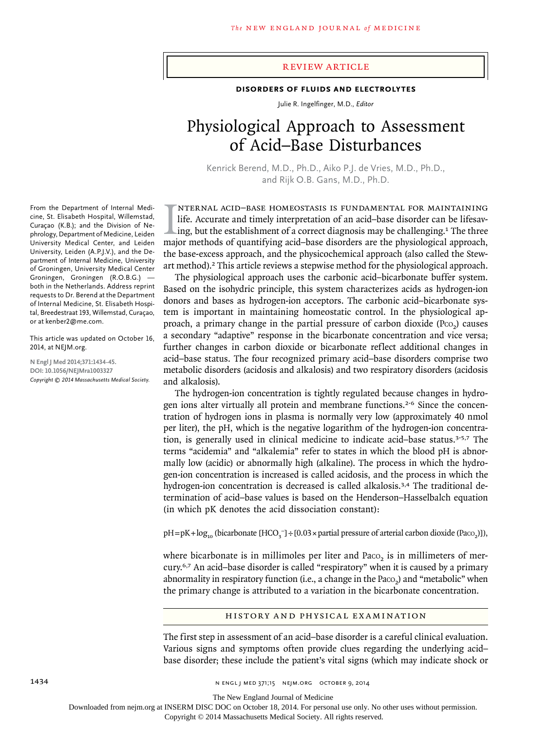# review article

# **Disorders of Fluids and Electrolytes**

Julie R. Ingelfinger, M.D., *Editor*

# Physiological Approach to Assessment of Acid–Base Disturbances

Kenrick Berend, M.D., Ph.D., Aiko P.J. de Vries, M.D., Ph.D., and Rijk O.B. Gans, M.D., Ph.D.

IMTERNAL ACID-BASE HOMEOSTASIS IS FUNDAMENTAL FOR MAINTAINING<br>life. Accurate and timely interpretation of an acid-base disorder can be lifesav-<br>ing, but the establishment of a correct diagnosis may be challenging.<sup>1</sup> The t nternal acid–base homeostasis is fundamental for maintaining life. Accurate and timely interpretation of an acid–base disorder can be lifesaving, but the establishment of a correct diagnosis may be challenging.<sup>1</sup> The three the base-excess approach, and the physicochemical approach (also called the Stewart method).2 This article reviews a stepwise method for the physiological approach.

The physiological approach uses the carbonic acid–bicarbonate buffer system. Based on the isohydric principle, this system characterizes acids as hydrogen-ion donors and bases as hydrogen-ion acceptors. The carbonic acid–bicarbonate system is important in maintaining homeostatic control. In the physiological approach, a primary change in the partial pressure of carbon dioxide  $(P_{CO_2})$  causes a secondary "adaptive" response in the bicarbonate concentration and vice versa; further changes in carbon dioxide or bicarbonate reflect additional changes in acid–base status. The four recognized primary acid–base disorders comprise two metabolic disorders (acidosis and alkalosis) and two respiratory disorders (acidosis and alkalosis).

The hydrogen-ion concentration is tightly regulated because changes in hydrogen ions alter virtually all protein and membrane functions.2-6 Since the concentration of hydrogen ions in plasma is normally very low (approximately 40 nmol per liter), the pH, which is the negative logarithm of the hydrogen-ion concentration, is generally used in clinical medicine to indicate acid–base status.3-5,7 The terms "acidemia" and "alkalemia" refer to states in which the blood pH is abnormally low (acidic) or abnormally high (alkaline). The process in which the hydrogen-ion concentration is increased is called acidosis, and the process in which the hydrogen-ion concentration is decreased is called alkalosis.<sup>3,4</sup> The traditional determination of acid–base values is based on the Henderson–Hasselbalch equation (in which pK denotes the acid dissociation constant):

pH=pK+log<sub>10</sub> (bicarbonate [HCO<sub>3</sub><sup>−</sup>]÷[0.03 × partial pressure of arterial carbon dioxide (Paco<sub>2</sub>)]),

where bicarbonate is in millimoles per liter and Paco, is in millimeters of mercury.6,7 An acid–base disorder is called "respiratory" when it is caused by a primary abnormality in respiratory function (i.e., a change in the Paco<sub>2</sub>) and "metabolic" when the primary change is attributed to a variation in the bicarbonate concentration.

#### History and Physical Examination

The first step in assessment of an acid–base disorder is a careful clinical evaluation. Various signs and symptoms often provide clues regarding the underlying acid– base disorder; these include the patient's vital signs (which may indicate shock or

From the Department of Internal Medicine, St. Elisabeth Hospital, Willemstad, Curaçao (K.B.); and the Division of Nephrology, Department of Medicine, Leiden University Medical Center, and Leiden University, Leiden (A.P.J.V.), and the Department of Internal Medicine, University of Groningen, University Medical Center Groningen, Groningen (R.O.B.G.) both in the Netherlands. Address reprint requests to Dr. Berend at the Department of Internal Medicine, St. Elisabeth Hospital, Breedestraat 193, Willemstad, Curaçao, or at kenber2@me.com.

This article was updated on October 16, 2014, at NEJM.org.

**N Engl J Med 2014;371:1434-45. DOI: 10.1056/NEJMra1003327** *Copyright © 2014 Massachusetts Medical Society.*

1434 **1434** n engl j med 371;15 Nejm.org october 9, 2014

The New England Journal of Medicine

Downloaded from nejm.org at INSERM DISC DOC on October 18, 2014. For personal use only. No other uses without permission.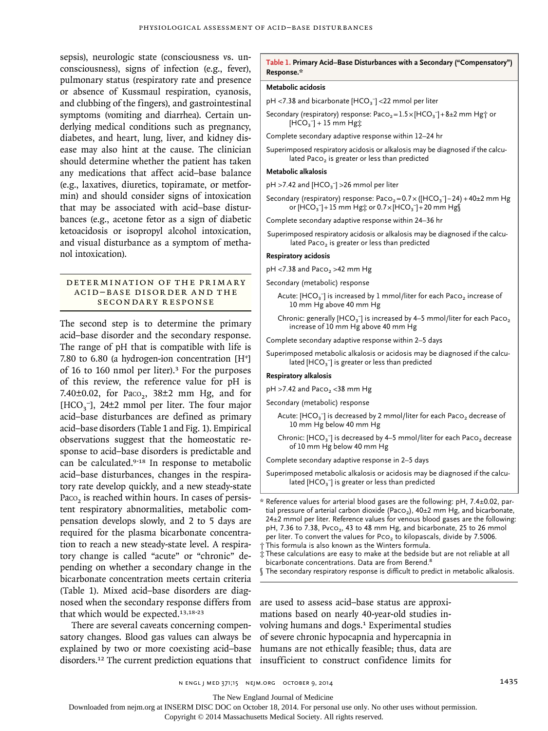sepsis), neurologic state (consciousness vs. unconsciousness), signs of infection (e.g., fever), pulmonary status (respiratory rate and presence or absence of Kussmaul respiration, cyanosis, and clubbing of the fingers), and gastrointestinal symptoms (vomiting and diarrhea). Certain underlying medical conditions such as pregnancy, diabetes, and heart, lung, liver, and kidney disease may also hint at the cause. The clinician should determine whether the patient has taken any medications that affect acid–base balance (e.g., laxatives, diuretics, topiramate, or metformin) and should consider signs of intoxication that may be associated with acid–base disturbances (e.g., acetone fetor as a sign of diabetic ketoacidosis or isopropyl alcohol intoxication, and visual disturbance as a symptom of methanol intoxication).

## DETER MINATION OF THE PRIMARY Acid –B a se Disor der a nd the Secondary Response

The second step is to determine the primary acid–base disorder and the secondary response. The range of pH that is compatible with life is 7.80 to 6.80 (a hydrogen-ion concentration [H<sup>+</sup>] of 16 to 160 nmol per liter).3 For the purposes of this review, the reference value for pH is 7.40 $\pm$ 0.02, for Paco<sub>2</sub>, 38 $\pm$ 2 mm Hg, and for [HCO<sub>3</sub><sup>-</sup>], 24±2 mmol per liter. The four major acid–base disturbances are defined as primary acid–base disorders (Table 1 and Fig. 1). Empirical observations suggest that the homeostatic response to acid–base disorders is predictable and can be calculated.<sup>9-18</sup> In response to metabolic acid–base disturbances, changes in the respiratory rate develop quickly, and a new steady-state Paco<sub>2</sub> is reached within hours. In cases of persistent respiratory abnormalities, metabolic compensation develops slowly, and 2 to 5 days are required for the plasma bicarbonate concentration to reach a new steady-state level. A respiratory change is called "acute" or "chronic" depending on whether a secondary change in the bicarbonate concentration meets certain criteria (Table 1). Mixed acid–base disorders are diagnosed when the secondary response differs from that which would be expected.<sup>13,18-23</sup>

There are several caveats concerning compensatory changes. Blood gas values can always be explained by two or more coexisting acid–base disorders.12 The current prediction equations that insufficient to construct confidence limits for

#### **Table 1. Primary Acid–Base Disturbances with a Secondary ("Compensatory") Response.\***

### **Metabolic acidosis**

pH <7.38 and bicarbonate  $[\text{HCO}_3^-]$  <22 mmol per liter

Secondary (respiratory) response: Pac $o_2 = 1.5 \times [HCO_3^-] + 8 \pm 2$  mm Hg $\dagger$  or  $[HCO<sub>3</sub>^-] + 15$  mm Hg $\ddagger$ 

Complete secondary adaptive response within 12–24 hr

Superimposed respiratory acidosis or alkalosis may be diagnosed if the calculated Paco<sub>2</sub> is greater or less than predicted

#### **Metabolic alkalosis**

 $pH > 7.42$  and  $[HCO<sub>3</sub><sup>-</sup>] > 26$  mmol per liter

Secondary (respiratory) response: Pac $o_2 = 0.7 \times ([HCO_3^-] - 24) + 40 \pm 2$  mm Hg or  $[\hat{\mathsf{HCO}}_3^-]+15$  mm Hg‡ or 0.7 $\times$ [HCO<sub>3</sub><sup>-</sup>]+20 mm Hg $\S$ 

Complete secondary adaptive response within 24–36 hr

Superimposed respiratory acidosis or alkalosis may be diagnosed if the calculated Paco<sub>2</sub> is greater or less than predicted

## **Respiratory acidosis**

 $pH$  <7.38 and Paco<sub>2</sub> >42 mm Hg

Secondary (metabolic) response

- Acute: [HCO<sub>3</sub><sup>-</sup>] is increased by 1 mmol/liter for each Pac0<sub>2</sub> increase of 10 mm Hg above 40 mm Hg
- Chronic: generally [HCO<sub>3</sub> $\bar{\ }$ ] is increased by 4–5 mmol/liter for each Paco $_2$ increase of 10 mm Hg above 40 mm Hg

Complete secondary adaptive response within 2–5 days

Superimposed metabolic alkalosis or acidosis may be diagnosed if the calculated  $[{\text{HCO}_3}^-]$  is greater or less than predicted

## **Respiratory alkalosis**

 $pH > 7.42$  and Paco<sub>2</sub> <38 mm Hg

Secondary (metabolic) response

- Acute: [HCO<sub>3</sub><sup>-</sup>] is decreased by 2 mmol/liter for each Pac0<sub>2</sub> decrease of 10 mm Hg below 40 mm Hg
- Chronic: [HCO<sub>3</sub><sup>-</sup>] is decreased by 4–5 mmol/liter for each Paco<sub>2</sub> decrease of 10 mm Hg below 40 mm Hg

Complete secondary adaptive response in 2–5 days

Superimposed metabolic alkalosis or acidosis may be diagnosed if the calculated [HCO $_3$  $\overline{\phantom{a}}$ ] is greater or less than predicted

‡ These calculations are easy to make at the bedside but are not reliable at all bicarbonate concentrations. Data are from Berend.<sup>8</sup>

§ The secondary respiratory response is difficult to predict in metabolic alkalosis.

are used to assess acid–base status are approximations based on nearly 40-year-old studies involving humans and dogs.<sup>1</sup> Experimental studies of severe chronic hypocapnia and hypercapnia in humans are not ethically feasible; thus, data are

The New England Journal of Medicine

Downloaded from nejm.org at INSERM DISC DOC on October 18, 2014. For personal use only. No other uses without permission.

<sup>\*</sup> Reference values for arterial blood gases are the following: pH, 7.4±0.02, partial pressure of arterial carbon dioxide (Paco<sub>2</sub>), 40±2 mm Hg, and bicarbonate,  $24±2$  mmol per liter. Reference values for venous blood gases are the following: pH, 7.36 to 7.38, Pvco<sub>2</sub>, 43 to 48 mm Hg, and bicarbonate, 25 to 26 mmol per liter. To convert the values for  $PCO<sub>2</sub>$  to kilopascals, divide by 7.5006. † This formula is also known as the Winters formula.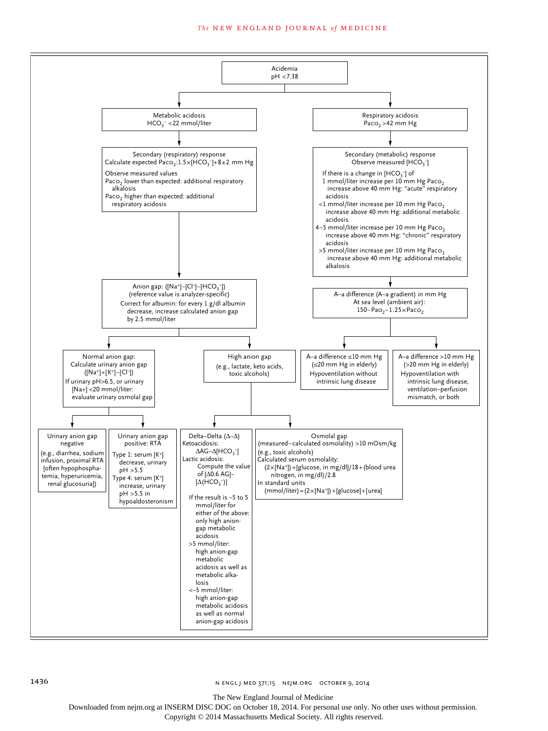#### The NEW ENGLAND JOURNAL of MEDICINE



The New England Journal of Medicine

Downloaded from nejm.org at INSERM DISC DOC on October 18, 2014. For personal use only. No other uses without permission.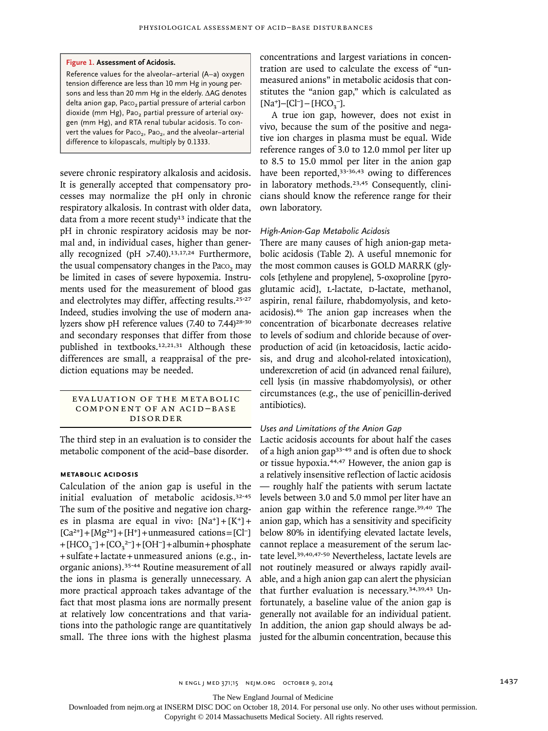#### **Figure 1. Assessment of Acidosis.**

Reference values for the alveolar–arterial (A–a) oxygen tension difference are less than 10 mm Hg in young persons and less than 20 mm Hg in the elderly. ΔAG denotes delta anion gap, Paco<sub>2</sub> partial pressure of arterial carbon dioxide (mm Hg), Pao<sub>2</sub> partial pressure of arterial oxygen (mm Hg), and RTA renal tubular acidosis. To convert the values for Paco<sub>2</sub>, Pao<sub>2</sub>, and the alveolar-arterial difference to kilopascals, multiply by 0.1333.

severe chronic respiratory alkalosis and acidosis. It is generally accepted that compensatory processes may normalize the pH only in chronic respiratory alkalosis. In contrast with older data, data from a more recent study<sup>13</sup> indicate that the pH in chronic respiratory acidosis may be normal and, in individual cases, higher than generally recognized (pH  $>7.40$ ).<sup>13,17,24</sup> Furthermore, the usual compensatory changes in the Paco, may be limited in cases of severe hypoxemia. Instruments used for the measurement of blood gas and electrolytes may differ, affecting results.25-27 Indeed, studies involving the use of modern analyzers show pH reference values  $(7.40 \text{ to } 7.44)^{28\text{-}30}$ and secondary responses that differ from those published in textbooks.12,21,31 Although these differences are small, a reappraisal of the prediction equations may be needed.

## EVALUATION OF THE METABOLIC COMPONENT OF AN ACID-BASE Disorder

The third step in an evaluation is to consider the metabolic component of the acid–base disorder.

# **Metabolic Acidosis**

Calculation of the anion gap is useful in the initial evaluation of metabolic acidosis.32-45 The sum of the positive and negative ion charges in plasma are equal in vivo:  $[Na^+] + [K^+] +$  $[Ca^{2+}] + [Mg^{2+}] + [H^+] +$ unmeasured cations= $[Cl^-]$ + [HCO<sub>3</sub><sup>-</sup>] + [CO<sub>3</sub><sup>2-</sup>] + [OH<sup>-</sup>] + albumin + phosphate +sulfate+lactate+unmeasured anions (e.g., inorganic anions).35-44 Routine measurement of all the ions in plasma is generally unnecessary. A more practical approach takes advantage of the fact that most plasma ions are normally present at relatively low concentrations and that variations into the pathologic range are quantitatively small. The three ions with the highest plasma concentrations and largest variations in concentration are used to calculate the excess of "unmeasured anions" in metabolic acidosis that constitutes the "anion gap," which is calculated as  $[Na^+] - [Cl^-] - [HCO_3^-]$ .

A true ion gap, however, does not exist in vivo, because the sum of the positive and negative ion charges in plasma must be equal. Wide reference ranges of 3.0 to 12.0 mmol per liter up to 8.5 to 15.0 mmol per liter in the anion gap have been reported,<sup>33-36,43</sup> owing to differences in laboratory methods.<sup>23,45</sup> Consequently, clinicians should know the reference range for their own laboratory.

## *High-Anion-Gap Metabolic Acidosis*

There are many causes of high anion-gap metabolic acidosis (Table 2). A useful mnemonic for the most common causes is GOLD MARRK (glycols [ethylene and propylene], 5-oxoproline [pyroglutamic acid], L-lactate, D-lactate, methanol, aspirin, renal failure, rhabdomyolysis, and ketoacidosis).46 The anion gap increases when the concentration of bicarbonate decreases relative to levels of sodium and chloride because of overproduction of acid (in ketoacidosis, lactic acidosis, and drug and alcohol-related intoxication), underexcretion of acid (in advanced renal failure), cell lysis (in massive rhabdomyolysis), or other circumstances (e.g., the use of penicillin-derived antibiotics).

# *Uses and Limitations of the Anion Gap*

Lactic acidosis accounts for about half the cases of a high anion gap<sup>33-49</sup> and is often due to shock or tissue hypoxia.44,47 However, the anion gap is a relatively insensitive reflection of lactic acidosis — roughly half the patients with serum lactate levels between 3.0 and 5.0 mmol per liter have an anion gap within the reference range.39,40 The anion gap, which has a sensitivity and specificity below 80% in identifying elevated lactate levels, cannot replace a measurement of the serum lactate level.39,40,47-50 Nevertheless, lactate levels are not routinely measured or always rapidly available, and a high anion gap can alert the physician that further evaluation is necessary.34,39,43 Unfortunately, a baseline value of the anion gap is generally not available for an individual patient. In addition, the anion gap should always be adjusted for the albumin concentration, because this

The New England Journal of Medicine

Downloaded from nejm.org at INSERM DISC DOC on October 18, 2014. For personal use only. No other uses without permission.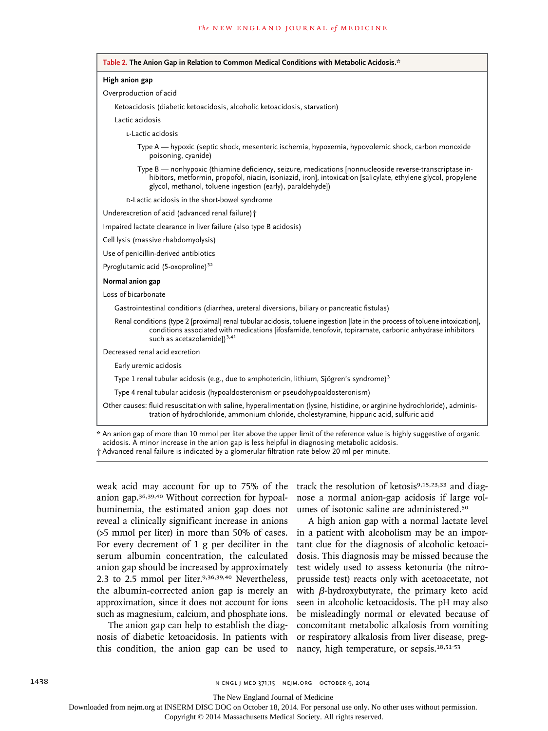|                        | Table 2. The Anion Gap in Relation to Common Medical Conditions with Metabolic Acidosis.*                                                                                                                                                                                              |
|------------------------|----------------------------------------------------------------------------------------------------------------------------------------------------------------------------------------------------------------------------------------------------------------------------------------|
| High anion gap         |                                                                                                                                                                                                                                                                                        |
| Overproduction of acid |                                                                                                                                                                                                                                                                                        |
|                        | Ketoacidosis (diabetic ketoacidosis, alcoholic ketoacidosis, starvation)                                                                                                                                                                                                               |
| Lactic acidosis        |                                                                                                                                                                                                                                                                                        |
|                        | L-Lactic acidosis                                                                                                                                                                                                                                                                      |
|                        | Type A - hypoxic (septic shock, mesenteric ischemia, hypoxemia, hypovolemic shock, carbon monoxide<br>poisoning, cyanide)                                                                                                                                                              |
|                        | Type B — nonhypoxic (thiamine deficiency, seizure, medications [nonnucleoside reverse-transcriptase in-<br>hibitors, metformin, propofol, niacin, isoniazid, iron], intoxication [salicylate, ethylene glycol, propylene<br>glycol, methanol, toluene ingestion (early), paraldehyde]) |
|                        | D-Lactic acidosis in the short-bowel syndrome                                                                                                                                                                                                                                          |
|                        | Underexcretion of acid (advanced renal failure) +                                                                                                                                                                                                                                      |
|                        | Impaired lactate clearance in liver failure (also type B acidosis)                                                                                                                                                                                                                     |
|                        | Cell lysis (massive rhabdomyolysis)                                                                                                                                                                                                                                                    |
|                        | Use of penicillin-derived antibiotics                                                                                                                                                                                                                                                  |
|                        | Pyroglutamic acid (5-oxoproline) <sup>32</sup>                                                                                                                                                                                                                                         |
| Normal anion gap       |                                                                                                                                                                                                                                                                                        |
| Loss of bicarbonate    |                                                                                                                                                                                                                                                                                        |
|                        | Gastrointestinal conditions (diarrhea, ureteral diversions, biliary or pancreatic fistulas)                                                                                                                                                                                            |
|                        | Renal conditions (type 2 [proximal] renal tubular acidosis, toluene ingestion [late in the process of toluene intoxication],<br>conditions associated with medications [ifosfamide, tenofovir, topiramate, carbonic anhydrase inhibitors<br>such as acetazolamide]) <sup>3,41</sup>    |
|                        | Decreased renal acid excretion                                                                                                                                                                                                                                                         |
|                        | Early uremic acidosis                                                                                                                                                                                                                                                                  |
|                        | Type 1 renal tubular acidosis (e.g., due to amphotericin, lithium, Sjögren's syndrome) <sup>3</sup>                                                                                                                                                                                    |
|                        | Type 4 renal tubular acidosis (hypoaldosteronism or pseudohypoaldosteronism)                                                                                                                                                                                                           |
|                        | Other causes: fluid resuscitation with saline, hyperalimentation (lysine, histidine, or arginine hydrochloride), adminis-<br>tration of hydrochloride, ammonium chloride, cholestyramine, hippuric acid, sulfuric acid                                                                 |

acidosis. A minor increase in the anion gap is less helpful in diagnosing metabolic acidosis.

† Advanced renal failure is indicated by a glomerular filtration rate below 20 ml per minute.

weak acid may account for up to 75% of the anion gap.36,39,40 Without correction for hypoalbuminemia, the estimated anion gap does not reveal a clinically significant increase in anions (>5 mmol per liter) in more than 50% of cases. For every decrement of 1 g per deciliter in the serum albumin concentration, the calculated anion gap should be increased by approximately 2.3 to 2.5 mmol per liter.9,36,39,40 Nevertheless, the albumin-corrected anion gap is merely an approximation, since it does not account for ions such as magnesium, calcium, and phosphate ions.

The anion gap can help to establish the diagnosis of diabetic ketoacidosis. In patients with this condition, the anion gap can be used to track the resolution of ketosis<sup>9,15,23,33</sup> and diagnose a normal anion-gap acidosis if large volumes of isotonic saline are administered.<sup>50</sup>

A high anion gap with a normal lactate level in a patient with alcoholism may be an important clue for the diagnosis of alcoholic ketoacidosis. This diagnosis may be missed because the test widely used to assess ketonuria (the nitroprusside test) reacts only with acetoacetate, not with β-hydroxybutyrate, the primary keto acid seen in alcoholic ketoacidosis. The pH may also be misleadingly normal or elevated because of concomitant metabolic alkalosis from vomiting or respiratory alkalosis from liver disease, pregnancy, high temperature, or sepsis.18,51-53

The New England Journal of Medicine

Downloaded from nejm.org at INSERM DISC DOC on October 18, 2014. For personal use only. No other uses without permission.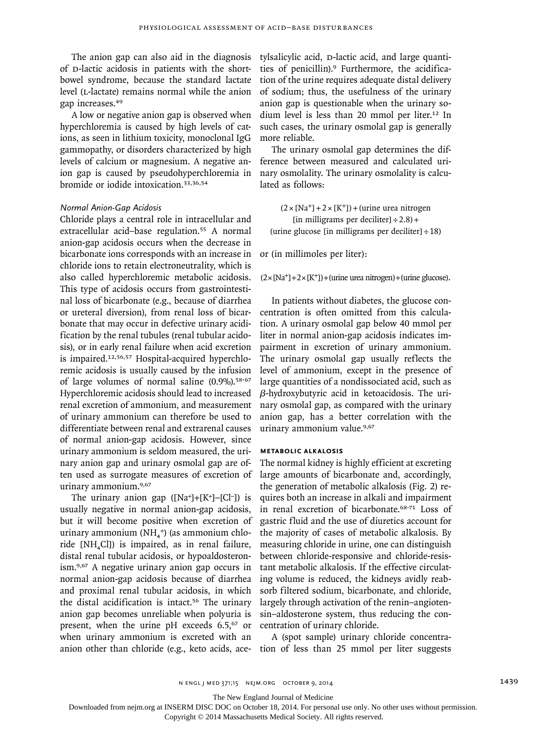The anion gap can also aid in the diagnosis of p-lactic acidosis in patients with the shortbowel syndrome, because the standard lactate level (L-lactate) remains normal while the anion gap increases.<sup>49</sup>

A low or negative anion gap is observed when hyperchloremia is caused by high levels of cations, as seen in lithium toxicity, monoclonal IgG gammopathy, or disorders characterized by high levels of calcium or magnesium. A negative anion gap is caused by pseudohyperchloremia in bromide or iodide intoxication.33,36,54

# *Normal Anion-Gap Acidosis*

Chloride plays a central role in intracellular and extracellular acid–base regulation.<sup>55</sup> A normal anion-gap acidosis occurs when the decrease in bicarbonate ions corresponds with an increase in chloride ions to retain electroneutrality, which is also called hyperchloremic metabolic acidosis. This type of acidosis occurs from gastrointestinal loss of bicarbonate (e.g., because of diarrhea or ureteral diversion), from renal loss of bicarbonate that may occur in defective urinary acidification by the renal tubules (renal tubular acidosis), or in early renal failure when acid excretion is impaired.12,56,57 Hospital-acquired hyperchloremic acidosis is usually caused by the infusion of large volumes of normal saline  $(0.9\%)$ .<sup>58-67</sup> Hyperchloremic acidosis should lead to increased renal excretion of ammonium, and measurement of urinary ammonium can therefore be used to differentiate between renal and extrarenal causes of normal anion-gap acidosis. However, since urinary ammonium is seldom measured, the urinary anion gap and urinary osmolal gap are often used as surrogate measures of excretion of urinary ammonium.9,67

The urinary anion gap  $([Na^+] + [K^+] - [Cl^-])$  is usually negative in normal anion-gap acidosis, but it will become positive when excretion of urinary ammonium (NH<sub>4</sub><sup>+</sup>) (as ammonium chloride  $[NH<sub>a</sub>Cl]$ ) is impaired, as in renal failure, distal renal tubular acidosis, or hypoaldosteronism.9,67 A negative urinary anion gap occurs in normal anion-gap acidosis because of diarrhea and proximal renal tubular acidosis, in which the distal acidification is intact.56 The urinary anion gap becomes unreliable when polyuria is present, when the urine pH exceeds 6.5,<sup>67</sup> or when urinary ammonium is excreted with an anion other than chloride (e.g., keto acids, acetylsalicylic acid, D-lactic acid, and large quantities of penicillin).9 Furthermore, the acidification of the urine requires adequate distal delivery of sodium; thus, the usefulness of the urinary anion gap is questionable when the urinary sodium level is less than 20 mmol per liter.<sup>12</sup> In such cases, the urinary osmolal gap is generally more reliable.

The urinary osmolal gap determines the difference between measured and calculated urinary osmolality. The urinary osmolality is calculated as follows:

 $(2 \times [Na^{+}] + 2 \times [K^{+}]) +$ (urine urea nitrogen [in milligrams per deciliter]  $\div$  2.8) + (urine glucose [in milligrams per deciliter]÷18)

or (in millimoles per liter):

 $(2 \times [Na^{+}] + 2 \times [K^{+}] ) + (urine$  urea nitrogen) + (urine glucose).

In patients without diabetes, the glucose concentration is often omitted from this calculation. A urinary osmolal gap below 40 mmol per liter in normal anion-gap acidosis indicates impairment in excretion of urinary ammonium. The urinary osmolal gap usually reflects the level of ammonium, except in the presence of large quantities of a nondissociated acid, such as β-hydroxybutyric acid in ketoacidosis. The urinary osmolal gap, as compared with the urinary anion gap, has a better correlation with the urinary ammonium value.<sup>9,67</sup>

#### **Metabolic Alkalosis**

The normal kidney is highly efficient at excreting large amounts of bicarbonate and, accordingly, the generation of metabolic alkalosis (Fig. 2) requires both an increase in alkali and impairment in renal excretion of bicarbonate.68-71 Loss of gastric fluid and the use of diuretics account for the majority of cases of metabolic alkalosis. By measuring chloride in urine, one can distinguish between chloride-responsive and chloride-resistant metabolic alkalosis. If the effective circulating volume is reduced, the kidneys avidly reabsorb filtered sodium, bicarbonate, and chloride, largely through activation of the renin–angiotensin–aldosterone system, thus reducing the concentration of urinary chloride.

A (spot sample) urinary chloride concentration of less than 25 mmol per liter suggests

The New England Journal of Medicine

Downloaded from nejm.org at INSERM DISC DOC on October 18, 2014. For personal use only. No other uses without permission.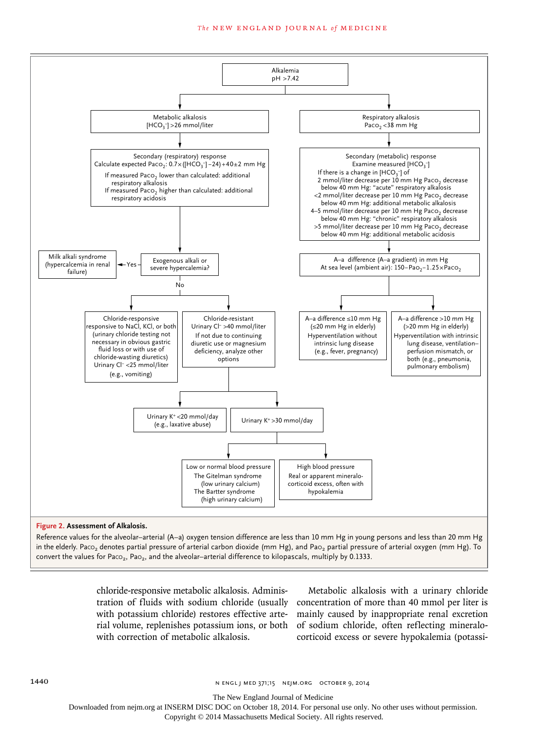#### **The NEW ENGLAND JOURNAL of MEDICINE**



Reference values for the alveolar–arterial (A–a) oxygen tension difference are less than 10 mm Hg in young persons and less than 20 mm Hg in the elderly. Paco<sub>2</sub> denotes partial pressure of arterial carbon dioxide (mm Hg), and Pao<sub>2</sub> partial pressure of arterial oxygen (mm Hg). To convert the values for Paco<sub>2</sub>, Pao<sub>2</sub>, and the alveolar–arterial difference to kilopascals, multiply by 0.1333.

> chloride-responsive metabolic alkalosis. Adminiswith correction of metabolic alkalosis.

tration of fluids with sodium chloride (usually concentration of more than 40 mmol per liter is with potassium chloride) restores effective arte-mainly caused by inappropriate renal excretion rial volume, replenishes potassium ions, or both of sodium chloride, often reflecting mineralo-Metabolic alkalosis with a urinary chloride corticoid excess or severe hypokalemia (potassi-

The New England Journal of Medicine

Downloaded from nejm.org at INSERM DISC DOC on October 18, 2014. For personal use only. No other uses without permission.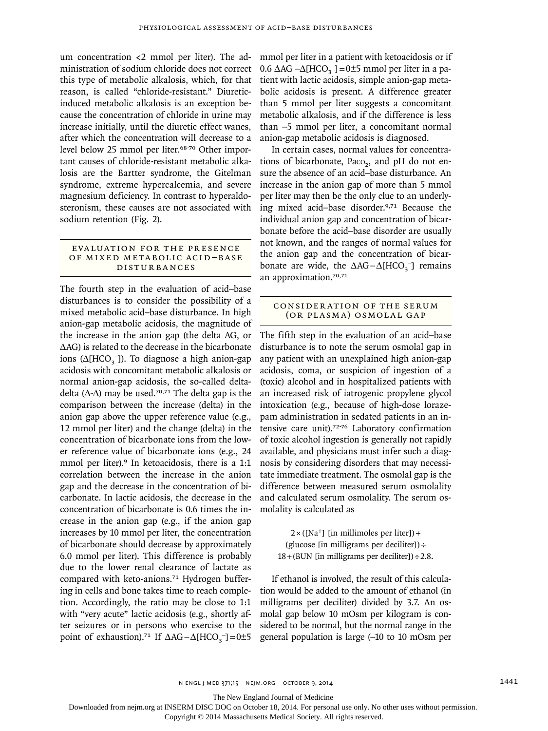um concentration <2 mmol per liter). The administration of sodium chloride does not correct this type of metabolic alkalosis, which, for that reason, is called "chloride-resistant." Diureticinduced metabolic alkalosis is an exception because the concentration of chloride in urine may increase initially, until the diuretic effect wanes, after which the concentration will decrease to a level below 25 mmol per liter.<sup>68-70</sup> Other important causes of chloride-resistant metabolic alkalosis are the Bartter syndrome, the Gitelman syndrome, extreme hypercalcemia, and severe magnesium deficiency. In contrast to hyperaldosteronism, these causes are not associated with sodium retention (Fig. 2).

# E va luation for the Pr esence OF MIXED METABOLIC ACID-BASE Disturbances

The fourth step in the evaluation of acid–base disturbances is to consider the possibility of a mixed metabolic acid–base disturbance. In high anion-gap metabolic acidosis, the magnitude of the increase in the anion gap (the delta AG, or ΔAG) is related to the decrease in the bicarbonate ions ( $\Delta$ [HCO<sub>3</sub><sup>-</sup>]). To diagnose a high anion-gap acidosis with concomitant metabolic alkalosis or normal anion-gap acidosis, the so-called deltadelta ( $\Delta$ - $\Delta$ ) may be used.<sup>70,71</sup> The delta gap is the comparison between the increase (delta) in the anion gap above the upper reference value (e.g., 12 mmol per liter) and the change (delta) in the concentration of bicarbonate ions from the lower reference value of bicarbonate ions (e.g., 24 mmol per liter).<sup>9</sup> In ketoacidosis, there is a 1:1 correlation between the increase in the anion gap and the decrease in the concentration of bicarbonate. In lactic acidosis*,* the decrease in the concentration of bicarbonate is 0.6 times the increase in the anion gap (e.g., if the anion gap increases by 10 mmol per liter, the concentration of bicarbonate should decrease by approximately 6.0 mmol per liter). This difference is probably due to the lower renal clearance of lactate as compared with keto-anions.71 Hydrogen buffering in cells and bone takes time to reach completion. Accordingly, the ratio may be close to 1:1 with "very acute" lactic acidosis (e.g., shortly after seizures or in persons who exercise to the point of exhaustion).<sup>71</sup> If  $\Delta AG - \Delta[HCO_3^-] = 0 \pm 5$ 

mmol per liter in a patient with ketoacidosis or if  $0.6 \triangle AG - Δ[HCO<sub>3</sub><sup>-</sup>] = 0±5 mmol per liter in a pa$ tient with lactic acidosis, simple anion-gap metabolic acidosis is present. A difference greater than 5 mmol per liter suggests a concomitant metabolic alkalosis, and if the difference is less than −5 mmol per liter, a concomitant normal anion-gap metabolic acidosis is diagnosed.

In certain cases, normal values for concentrations of bicarbonate, Paco<sub>2</sub>, and pH do not ensure the absence of an acid–base disturbance. An increase in the anion gap of more than 5 mmol per liter may then be the only clue to an underlying mixed acid–base disorder.9,71 Because the individual anion gap and concentration of bicarbonate before the acid–base disorder are usually not known, and the ranges of normal values for the anion gap and the concentration of bicarbonate are wide, the  $\Delta AG - \Delta [HCO_3^-]$  remains an approximation.70,71

# Consider ation of the Serum (or Plasma) Osmolal Gap

The fifth step in the evaluation of an acid–base disturbance is to note the serum osmolal gap in any patient with an unexplained high anion-gap acidosis, coma, or suspicion of ingestion of a (toxic) alcohol and in hospitalized patients with an increased risk of iatrogenic propylene glycol intoxication (e.g., because of high-dose lorazepam administration in sedated patients in an intensive care unit).72-76 Laboratory confirmation of toxic alcohol ingestion is generally not rapidly available, and physicians must infer such a diagnosis by considering disorders that may necessitate immediate treatment. The osmolal gap is the difference between measured serum osmolality and calculated serum osmolality. The serum osmolality is calculated as

 $2\times$  ([Na<sup>+</sup>] [in millimoles per liter]) + (glucose [in milligrams per deciliter])  $\div$  $18+(BUN)$  [in milligrams per deciliter])  $\div$  2.8.

If ethanol is involved, the result of this calculation would be added to the amount of ethanol (in milligrams per deciliter) divided by 3.7. An osmolal gap below 10 mOsm per kilogram is considered to be normal, but the normal range in the general population is large (−10 to 10 mOsm per

The New England Journal of Medicine

Downloaded from nejm.org at INSERM DISC DOC on October 18, 2014. For personal use only. No other uses without permission.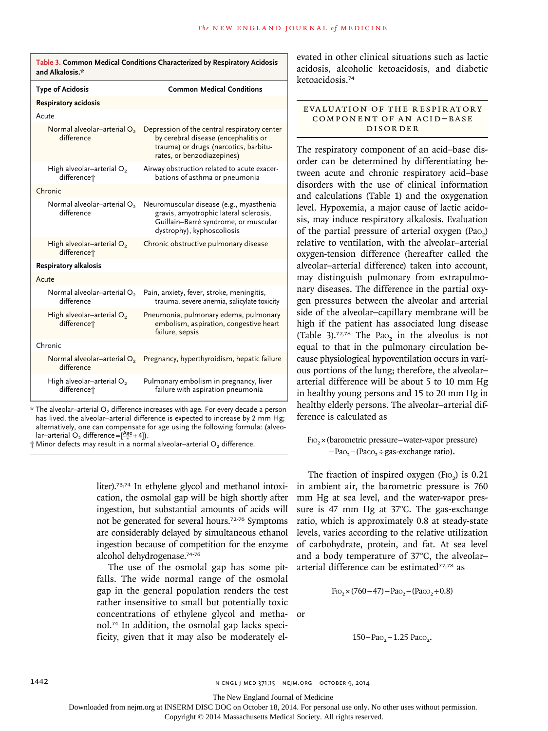| Table 3. Common Medical Conditions Characterized by Respiratory Acidosis<br>and Alkalosis.* |                                                                                                                                                             |  |  |
|---------------------------------------------------------------------------------------------|-------------------------------------------------------------------------------------------------------------------------------------------------------------|--|--|
| <b>Type of Acidosis</b>                                                                     | <b>Common Medical Conditions</b>                                                                                                                            |  |  |
| <b>Respiratory acidosis</b>                                                                 |                                                                                                                                                             |  |  |
| Acute                                                                                       |                                                                                                                                                             |  |  |
| Normal alveolar-arterial O <sub>2</sub><br>difference                                       | Depression of the central respiratory center<br>by cerebral disease (encephalitis or<br>trauma) or drugs (narcotics, barbitu-<br>rates, or benzodiazepines) |  |  |
| High alveolar-arterial O <sub>2</sub><br>difference <sup>+</sup>                            | Airway obstruction related to acute exacer-<br>bations of asthma or pneumonia                                                                               |  |  |
| Chronic                                                                                     |                                                                                                                                                             |  |  |
| Normal alveolar-arterial O <sub>2</sub><br>difference                                       | Neuromuscular disease (e.g., myasthenia<br>gravis, amyotrophic lateral sclerosis,<br>Guillain-Barré syndrome, or muscular<br>dystrophy), kyphoscoliosis     |  |  |
| High alveolar-arterial O2<br>difference <sup>+</sup>                                        | Chronic obstructive pulmonary disease                                                                                                                       |  |  |
| <b>Respiratory alkalosis</b>                                                                |                                                                                                                                                             |  |  |
| Acute                                                                                       |                                                                                                                                                             |  |  |
| Normal alveolar-arterial O <sub>2</sub><br>difference                                       | Pain, anxiety, fever, stroke, meningitis,<br>trauma, severe anemia, salicylate toxicity                                                                     |  |  |
| High alveolar-arterial O <sub>2</sub><br>difference <sup>+</sup>                            | Pneumonia, pulmonary edema, pulmonary<br>embolism, aspiration, congestive heart<br>failure, sepsis                                                          |  |  |
| Chronic                                                                                     |                                                                                                                                                             |  |  |
| Normal alveolar-arterial $O2$<br>difference                                                 | Pregnancy, hyperthyroidism, hepatic failure                                                                                                                 |  |  |
| High alveolar-arterial O <sub>2</sub><br>difference†                                        | Pulmonary embolism in pregnancy, liver<br>failure with aspiration pneumonia                                                                                 |  |  |

 $*$  The alveolar–arterial  $O<sub>2</sub>$  difference increases with age. For every decade a person has lived, the alveolar-arterial difference is expected to increase by 2 mm Hg; alternatively, one can compensate for age using the following formula: (alveolar–arterial  $O_2$  difference =  $\left[\frac{Age}{4}+4\right]$ ).

 $\dagger$  Minor defects may result in a normal alveolar–arterial O<sub>2</sub> difference.

liter).73,74 In ethylene glycol and methanol intoxication, the osmolal gap will be high shortly after ingestion, but substantial amounts of acids will not be generated for several hours.72-76 Symptoms are considerably delayed by simultaneous ethanol ingestion because of competition for the enzyme alcohol dehydrogenase.74-76

The use of the osmolal gap has some pitfalls. The wide normal range of the osmolal gap in the general population renders the test rather insensitive to small but potentially toxic concentrations of ethylene glycol and metha-or nol.74 In addition, the osmolal gap lacks specificity, given that it may also be moderately el-

evated in other clinical situations such as lactic acidosis, alcoholic ketoacidosis, and diabetic ketoacidosis.<sup>74</sup>

EVALUATION OF THE RESPIRATORY COMPONENT OF AN ACID-BASE Disorder

The respiratory component of an acid–base disorder can be determined by differentiating between acute and chronic respiratory acid–base disorders with the use of clinical information and calculations (Table 1) and the oxygenation level. Hypoxemia, a major cause of lactic acidosis, may induce respiratory alkalosis. Evaluation of the partial pressure of arterial oxygen  $(Pao_2)$ relative to ventilation, with the alveolar–arterial oxygen-tension difference (hereafter called the alveolar–arterial difference) taken into account, may distinguish pulmonary from extrapulmonary diseases. The difference in the partial oxygen pressures between the alveolar and arterial side of the alveolar–capillary membrane will be high if the patient has associated lung disease (Table 3).<sup>77,78</sup> The Pao<sub>2</sub> in the alveolus is not equal to that in the pulmonary circulation because physiological hypoventilation occurs in various portions of the lung; therefore, the alveolar– arterial difference will be about 5 to 10 mm Hg in healthy young persons and 15 to 20 mm Hg in healthy elderly persons. The alveolar–arterial difference is calculated as

 $F_{102} \times$ (barometric pressure–water-vapor pressure)  $-Pao<sub>2</sub>$  – (Paco<sub>2</sub> ÷ gas-exchange ratio).

The fraction of inspired oxygen  $(F_{102})$  is 0.21 in ambient air, the barometric pressure is 760 mm Hg at sea level, and the water-vapor pressure is 47 mm Hg at 37°C. The gas-exchange ratio, which is approximately 0.8 at steady-state levels, varies according to the relative utilization of carbohydrate, protein, and fat. At sea level and a body temperature of 37°C, the alveolar– arterial difference can be estimated<sup>77,78</sup> as

$$
F_{1O_2} \times (760 - 47) - Pa_{O_2} - (Pa_{O_2} \div 0.8)
$$

$$
150 - \mathrm{PaO}_2 - 1.25 \ \mathrm{PaCO}_2.
$$

The New England Journal of Medicine

Downloaded from nejm.org at INSERM DISC DOC on October 18, 2014. For personal use only. No other uses without permission.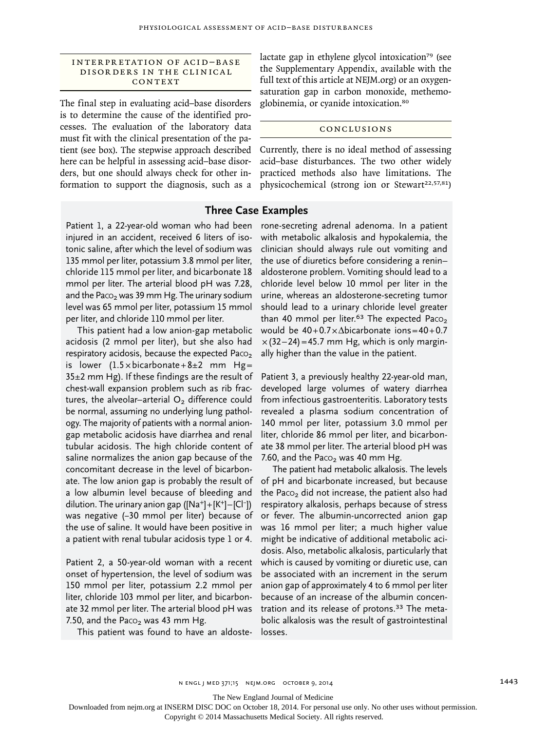# INTERPRETATION OF ACID-BASE DISORDERS IN THE CLINICAL CONTEXT

The final step in evaluating acid–base disorders is to determine the cause of the identified processes. The evaluation of the laboratory data must fit with the clinical presentation of the patient (see box). The stepwise approach described here can be helpful in assessing acid–base disorders, but one should always check for other information to support the diagnosis, such as a lactate gap in ethylene glycol intoxication<sup>79</sup> (see the Supplementary Appendix, available with the full text of this article at NEJM.org) or an oxygensaturation gap in carbon monoxide, methemoglobinemia, or cyanide intoxication.<sup>80</sup>

## Conclusions

Currently, there is no ideal method of assessing acid–base disturbances. The two other widely practiced methods also have limitations. The physicochemical (strong ion or Stewart<sup>22,57,81</sup>)

# **Three Case Examples**

Patient 1, a 22-year-old woman who had been injured in an accident, received 6 liters of isotonic saline, after which the level of sodium was 135 mmol per liter, potassium 3.8 mmol per liter, chloride 115 mmol per liter, and bicarbonate 18 mmol per liter. The arterial blood pH was 7.28, and the Paco<sub>2</sub> was 39 mm Hg. The urinary sodium level was 65 mmol per liter, potassium 15 mmol per liter, and chloride 110 mmol per liter.

This patient had a low anion-gap metabolic acidosis (2 mmol per liter), but she also had respiratory acidosis, because the expected Paco<sub>2</sub> is lower  $(1.5 \times \text{bicarbonate} + 8 \pm 2 \text{ mm Hg} =$  $35\pm2$  mm Hg). If these findings are the result of chest-wall expansion problem such as rib fractures, the alveolar-arterial  $O<sub>2</sub>$  difference could be normal, assuming no underlying lung pathology. The majority of patients with a normal aniongap metabolic acidosis have diarrhea and renal tubular acidosis. The high chloride content of saline normalizes the anion gap because of the concomitant decrease in the level of bicarbonate. The low anion gap is probably the result of a low albumin level because of bleeding and dilution. The urinary anion gap ([Na+]+[K+]–[Cl−]) was negative (−30 mmol per liter) because of the use of saline. It would have been positive in a patient with renal tubular acidosis type 1 or 4.

Patient 2, a 50-year-old woman with a recent onset of hypertension, the level of sodium was 150 mmol per liter, potassium 2.2 mmol per liter, chloride 103 mmol per liter, and bicarbonate 32 mmol per liter. The arterial blood pH was 7.50, and the Paco<sub>2</sub> was 43 mm Hg.

This patient was found to have an aldoste-

rone-secreting adrenal adenoma. In a patient with metabolic alkalosis and hypokalemia, the clinician should always rule out vomiting and the use of diuretics before considering a renin– aldosterone problem. Vomiting should lead to a chloride level below 10 mmol per liter in the urine, whereas an aldosterone-secreting tumor should lead to a urinary chloride level greater than 40 mmol per liter.<sup>63</sup> The expected Paco<sub>2</sub> would be 40+0.7×Δbicarbonate ions=40+0.7  $\times$  (32–24) = 45.7 mm Hg, which is only marginally higher than the value in the patient.

Patient 3, a previously healthy 22-year-old man, developed large volumes of watery diarrhea from infectious gastroenteritis. Laboratory tests revealed a plasma sodium concentration of 140 mmol per liter, potassium 3.0 mmol per liter, chloride 86 mmol per liter, and bicarbonate 38 mmol per liter. The arterial blood pH was 7.60, and the Paco<sub>2</sub> was 40 mm Hg.

The patient had metabolic alkalosis. The levels of pH and bicarbonate increased, but because the Paco<sub>2</sub> did not increase, the patient also had respiratory alkalosis, perhaps because of stress or fever. The albumin-uncorrected anion gap was 16 mmol per liter; a much higher value might be indicative of additional metabolic acidosis. Also, metabolic alkalosis, particularly that which is caused by vomiting or diuretic use, can be associated with an increment in the serum anion gap of approximately 4 to 6 mmol per liter because of an increase of the albumin concentration and its release of protons.<sup>33</sup> The metabolic alkalosis was the result of gastrointestinal losses.

The New England Journal of Medicine

Downloaded from nejm.org at INSERM DISC DOC on October 18, 2014. For personal use only. No other uses without permission.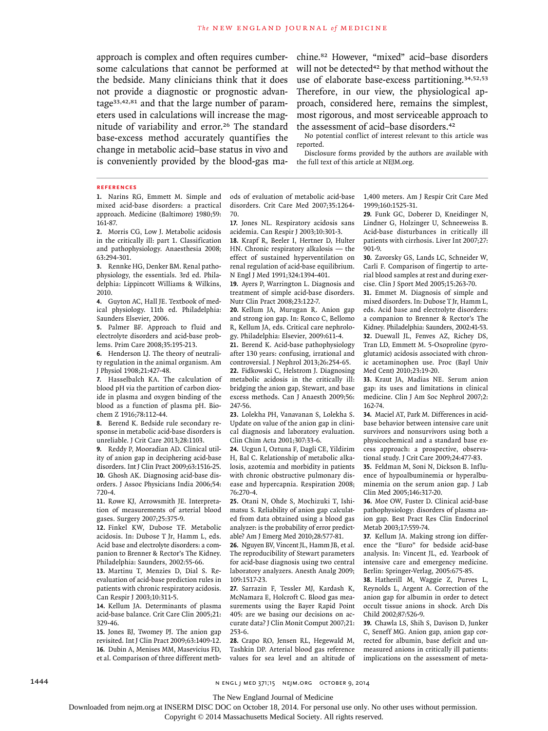approach is complex and often requires cumbersome calculations that cannot be performed at the bedside. Many clinicians think that it does not provide a diagnostic or prognostic advantage33,42,81 and that the large number of parameters used in calculations will increase the magnitude of variability and error.<sup>26</sup> The standard base-excess method accurately quantifies the change in metabolic acid–base status in vivo and is conveniently provided by the blood-gas machine.82 However, "mixed" acid–base disorders will not be detected<sup>42</sup> by that method without the use of elaborate base-excess partitioning.<sup>34,52,53</sup> Therefore, in our view, the physiological approach, considered here, remains the simplest, most rigorous, and most serviceable approach to the assessment of acid–base disorders.<sup>42</sup>

No potential conflict of interest relevant to this article was reported.

Disclosure forms provided by the authors are available with the full text of this article at NEJM.org.

#### **references**

**1.** Narins RG, Emmett M. Simple and mixed acid-base disorders: a practical approach. Medicine (Baltimore) 1980;59: 161-87.

**2.** Morris CG, Low J. Metabolic acidosis in the critically ill: part 1. Classification and pathophysiology. Anaesthesia 2008; 63:294-301.

**3.** Rennke HG, Denker BM. Renal pathophysiology, the essentials. 3rd ed. Philadelphia: Lippincott Williams & Wilkins, 2010.

**4.** Guyton AC, Hall JE. Textbook of medical physiology. 11th ed. Philadelphia: Saunders Elsevier, 2006.

**5.** Palmer BF. Approach to fluid and electrolyte disorders and acid-base problems. Prim Care 2008;35:195-213.

**6.** Henderson LJ. The theory of neutrality regulation in the animal organism. Am J Physiol 1908;21:427-48.

**7.** Hasselbalch KA. The calculation of blood pH via the partition of carbon dioxide in plasma and oxygen binding of the blood as a function of plasma pH. Biochem Z 1916;78:112-44.

**8.** Berend K. Bedside rule secondary response in metabolic acid-base disorders is unreliable. J Crit Care 2013;28:1103.

**9.** Reddy P, Mooradian AD. Clinical utility of anion gap in deciphering acid-base disorders. Int J Clin Pract 2009;63:1516-25. **10.** Ghosh AK. Diagnosing acid-base disorders. J Assoc Physicians India 2006;54: 720-4.

**11.** Rowe KJ, Arrowsmith JE. Interpretation of measurements of arterial blood gases. Surgery 2007;25:375-9.

**12.** Finkel KW, Dubose TF. Metabolic acidosis. In: Dubose T Jr, Hamm L, eds. Acid base and electrolyte disorders: a companion to Brenner & Rector's The Kidney. Philadelphia: Saunders, 2002:55-66.

**13.** Martinu T, Menzies D, Dial S. Reevaluation of acid-base prediction rules in patients with chronic respiratory acidosis. Can Respir J 2003;10:311-5.

**14.** Kellum JA. Determinants of plasma acid-base balance. Crit Care Clin 2005;21: 329-46.

**15.** Jones BJ, Twomey PJ. The anion gap revisited. Int J Clin Pract 2009;63:1409-12. **16.** Dubin A, Menises MM, Masevicius FD, et al. Comparison of three different methods of evaluation of metabolic acid-base disorders. Crit Care Med 2007;35:1264- 70.

**17.** Jones NL. Respiratory acidosis sans acidemia. Can Respir J 2003;10:301-3.

**18.** Krapf R, Beeler I, Hertner D, Hulter HN. Chronic respiratory alkalosis — the effect of sustained hyperventilation on renal regulation of acid-base equilibrium. N Engl J Med 1991;324:1394-401.

**19.** Ayers P, Warrington L. Diagnosis and treatment of simple acid-base disorders. Nutr Clin Pract 2008;23:122-7.

**20.** Kellum JA, Murugan R. Anion gap and strong ion gap. In: Ronco C, Bellomo R, Kellum JA, eds. Critical care nephrology. Philadelphia: Elsevier, 2009:611-4.

**21.** Berend K. Acid-base pathophysiology after 130 years: confusing, irrational and controversial. J Nephrol 2013;26:254-65.

**22.** Fidkowski C, Helstrom J. Diagnosing metabolic acidosis in the critically ill: bridging the anion gap, Stewart, and base excess methods. Can J Anaesth 2009;56: 247-56.

**23.** Lolekha PH, Vanavanan S, Lolekha S. Update on value of the anion gap in clinical diagnosis and laboratory evaluation. Clin Chim Acta 2001;307:33-6.

**24.** Ucgun I, Oztuna F, Dagli CE, Yildirim H, Bal C. Relationship of metabolic alkalosis, azotemia and morbidity in patients with chronic obstructive pulmonary disease and hypercapnia. Respiration 2008; 76:270-4.

**25.** Otani N, Ohde S, Mochizuki T, Ishimatsu S. Reliability of anion gap calculated from data obtained using a blood gas analyzer: is the probability of error predictable? Am J Emerg Med 2010;28:577-81.

**26.** Nguyen BV, Vincent JL, Hamm JB, et al. The reproducibility of Stewart parameters for acid-base diagnosis using two central laboratory analyzers. Anesth Analg 2009; 109:1517-23.

**27.** Sarrazin F, Tessler MJ, Kardash K, McNamara E, Holcroft C. Blood gas measurements using the Bayer Rapid Point 405: are we basing our decisions on accurate data? J Clin Monit Comput 2007;21: 253-6.

**28.** Crapo RO, Jensen RL, Hegewald M, Tashkin DP. Arterial blood gas reference values for sea level and an altitude of 1,400 meters. Am J Respir Crit Care Med 1999;160:1525-31.

**29.** Funk GC, Doberer D, Kneidinger N, Lindner G, Holzinger U, Schneeweiss B. Acid-base disturbances in critically ill patients with cirrhosis. Liver Int 2007;27: 901-9.

**30.** Zavorsky GS, Lands LC, Schneider W, Carli F. Comparison of fingertip to arterial blood samples at rest and during exercise. Clin J Sport Med 2005;15:263-70.

**31.** Emmet M. Diagnosis of simple and mixed disorders. In: Dubose T Jr, Hamm L, eds. Acid base and electrolyte disorders: a companion to Brenner & Rector's The Kidney. Philadelphia: Saunders, 2002:41-53. **32.** Duewall JL, Fenves AZ, Richey DS, Tran LD, Emmett M. 5-Oxoproline (pyroglutamic) acidosis associated with chronic acetaminophen use. Proc (Bayl Univ Med Cent) 2010;23:19-20.

**33.** Kraut JA, Madias NE. Serum anion gap: its uses and limitations in clinical medicine. Clin J Am Soc Nephrol 2007;2: 162-74.

**34.** Maciel AT, Park M. Differences in acidbase behavior between intensive care unit survivors and nonsurvivors using both a physicochemical and a standard base excess approach: a prospective, observational study. J Crit Care 2009;24:477-83.

**35.** Feldman M, Soni N, Dickson B. Influence of hypoalbuminemia or hyperalbuminemia on the serum anion gap. J Lab Clin Med 2005;146:317-20.

**36.** Moe OW, Fuster D. Clinical acid-base pathophysiology: disorders of plasma anion gap. Best Pract Res Clin Endocrinol Metab 2003;17:559-74.

**37.** Kellum JA. Making strong ion difference the "Euro" for bedside acid-base analysis. In: Vincent JL, ed. Yearbook of intensive care and emergency medicine. Berlin: Springer-Verlag, 2005:675-85.

**38.** Hatherill M, Waggie Z, Purves L, Reynolds L, Argent A. Correction of the anion gap for albumin in order to detect occult tissue anions in shock. Arch Dis Child 2002;87:526-9.

**39.** Chawla LS, Shih S, Davison D, Junker C, Seneff MG. Anion gap, anion gap corrected for albumin, base deficit and unmeasured anions in critically ill patients: implications on the assessment of meta-

1444 **1444** n engl j med j med j med 371;15 nejm.org october 9, 2014

The New England Journal of Medicine

Downloaded from nejm.org at INSERM DISC DOC on October 18, 2014. For personal use only. No other uses without permission.